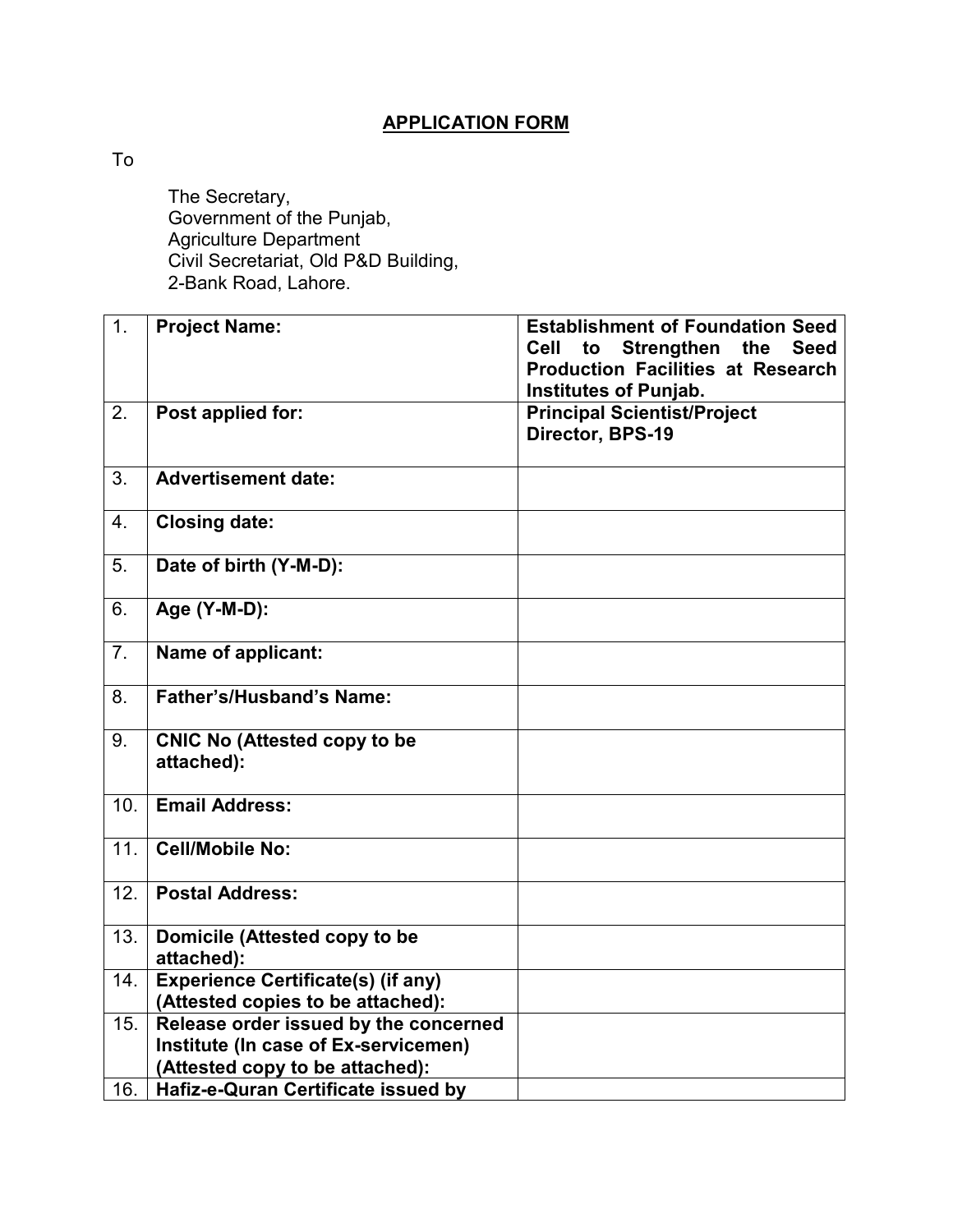## **APPLICATION FORM**

To

 The Secretary, Government of the Punjab, Agriculture Department Civil Secretariat, Old P&D Building, 2-Bank Road, Lahore.

| 1.             | <b>Project Name:</b>                                                                                             | <b>Establishment of Foundation Seed</b><br>Cell<br>to<br><b>Strengthen</b><br>the<br><b>Seed</b><br><b>Production Facilities at Research</b><br><b>Institutes of Punjab.</b> |
|----------------|------------------------------------------------------------------------------------------------------------------|------------------------------------------------------------------------------------------------------------------------------------------------------------------------------|
| 2.             | Post applied for:                                                                                                | <b>Principal Scientist/Project</b><br>Director, BPS-19                                                                                                                       |
| 3.             | <b>Advertisement date:</b>                                                                                       |                                                                                                                                                                              |
| 4.             | <b>Closing date:</b>                                                                                             |                                                                                                                                                                              |
| 5.             | Date of birth (Y-M-D):                                                                                           |                                                                                                                                                                              |
| 6.             | Age (Y-M-D):                                                                                                     |                                                                                                                                                                              |
| 7 <sub>1</sub> | Name of applicant:                                                                                               |                                                                                                                                                                              |
| 8.             | <b>Father's/Husband's Name:</b>                                                                                  |                                                                                                                                                                              |
| 9.             | <b>CNIC No (Attested copy to be</b><br>attached):                                                                |                                                                                                                                                                              |
| 10.            | <b>Email Address:</b>                                                                                            |                                                                                                                                                                              |
| 11.            | <b>Cell/Mobile No:</b>                                                                                           |                                                                                                                                                                              |
| 12.            | <b>Postal Address:</b>                                                                                           |                                                                                                                                                                              |
| 13.            | Domicile (Attested copy to be<br>attached):                                                                      |                                                                                                                                                                              |
| 14.            | <b>Experience Certificate(s) (if any)</b><br>(Attested copies to be attached):                                   |                                                                                                                                                                              |
| 15.            | Release order issued by the concerned<br>Institute (In case of Ex-servicemen)<br>(Attested copy to be attached): |                                                                                                                                                                              |
| 16.            | Hafiz-e-Quran Certificate issued by                                                                              |                                                                                                                                                                              |